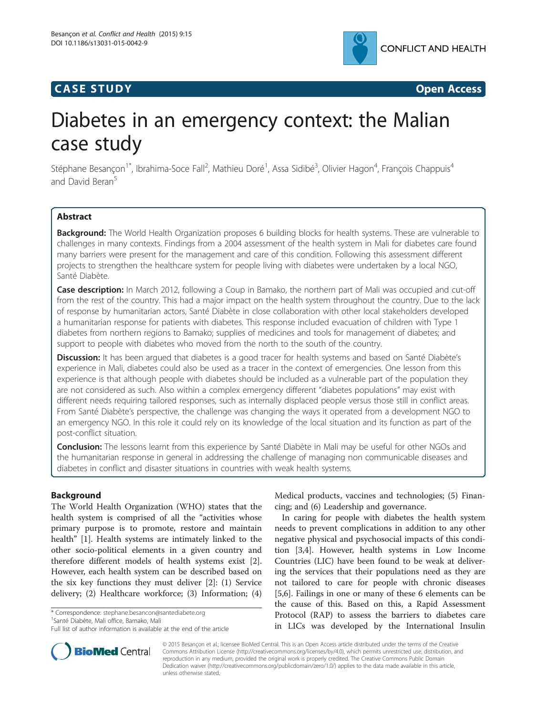## **CASE STUDY CASE STUDY Open Access**



# Diabetes in an emergency context: the Malian case study

Stéphane Besançon<sup>1\*</sup>, Ibrahima-Soce Fall<sup>2</sup>, Mathieu Doré<sup>1</sup>, Assa Sidibé<sup>3</sup>, Olivier Hagon<sup>4</sup>, François Chappuis<sup>4</sup> and David Beran<sup>5</sup>

## Abstract

Background: The World Health Organization proposes 6 building blocks for health systems. These are vulnerable to challenges in many contexts. Findings from a 2004 assessment of the health system in Mali for diabetes care found many barriers were present for the management and care of this condition. Following this assessment different projects to strengthen the healthcare system for people living with diabetes were undertaken by a local NGO, Santé Diabète.

Case description: In March 2012, following a Coup in Bamako, the northern part of Mali was occupied and cut-off from the rest of the country. This had a major impact on the health system throughout the country. Due to the lack of response by humanitarian actors, Santé Diabète in close collaboration with other local stakeholders developed a humanitarian response for patients with diabetes. This response included evacuation of children with Type 1 diabetes from northern regions to Bamako; supplies of medicines and tools for management of diabetes; and support to people with diabetes who moved from the north to the south of the country.

Discussion: It has been argued that diabetes is a good tracer for health systems and based on Santé Diabète's experience in Mali, diabetes could also be used as a tracer in the context of emergencies. One lesson from this experience is that although people with diabetes should be included as a vulnerable part of the population they are not considered as such. Also within a complex emergency different "diabetes populations" may exist with different needs requiring tailored responses, such as internally displaced people versus those still in conflict areas. From Santé Diabète's perspective, the challenge was changing the ways it operated from a development NGO to an emergency NGO. In this role it could rely on its knowledge of the local situation and its function as part of the post-conflict situation.

Conclusion: The lessons learnt from this experience by Santé Diabète in Mali may be useful for other NGOs and the humanitarian response in general in addressing the challenge of managing non communicable diseases and diabetes in conflict and disaster situations in countries with weak health systems.

## Background

The World Health Organization (WHO) states that the health system is comprised of all the "activities whose primary purpose is to promote, restore and maintain health" [[1\]](#page-5-0). Health systems are intimately linked to the other socio-political elements in a given country and therefore different models of health systems exist [\[2](#page-5-0)]. However, each health system can be described based on the six key functions they must deliver [\[2](#page-5-0)]: (1) Service delivery; (2) Healthcare workforce; (3) Information; (4)

\* Correspondence: [stephane.besancon@santediabete.org](mailto:stephane.besancon@santediabete.org) <sup>1</sup>

<sup>1</sup>Santé Diabète, Mali office, Bamako, Mali



In caring for people with diabetes the health system needs to prevent complications in addition to any other negative physical and psychosocial impacts of this condition [[3,4\]](#page-5-0). However, health systems in Low Income Countries (LIC) have been found to be weak at delivering the services that their populations need as they are not tailored to care for people with chronic diseases [[5,6\]](#page-5-0). Failings in one or many of these 6 elements can be the cause of this. Based on this, a Rapid Assessment Protocol (RAP) to assess the barriers to diabetes care in LICs was developed by the International Insulin



© 2015 Besançon et al.; licensee BioMed Central. This is an Open Access article distributed under the terms of the Creative Commons Attribution License [\(http://creativecommons.org/licenses/by/4.0\)](http://creativecommons.org/licenses/by/4.0), which permits unrestricted use, distribution, and reproduction in any medium, provided the original work is properly credited. The Creative Commons Public Domain Dedication waiver [\(http://creativecommons.org/publicdomain/zero/1.0/](http://creativecommons.org/publicdomain/zero/1.0/)) applies to the data made available in this article, unless otherwise stated.

Full list of author information is available at the end of the article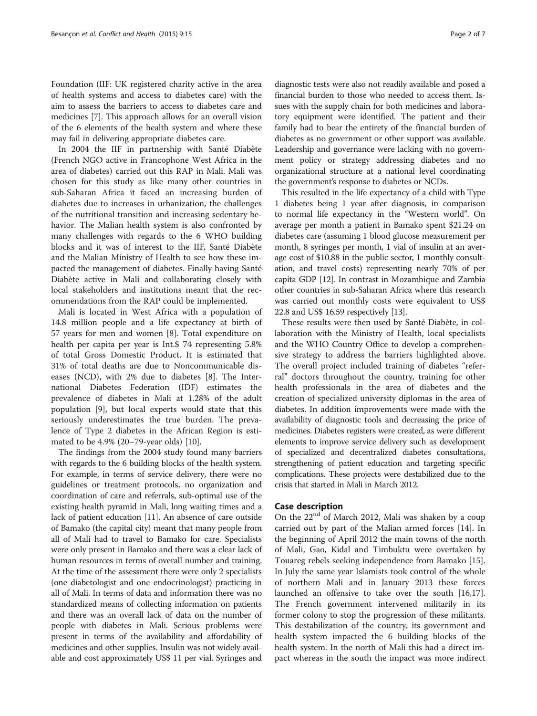Foundation (IIF: UK registered charity active in the area of health systems and access to diabetes care) with the aim to assess the barriers to access to diabetes care and medicines [\[7\]](#page-5-0). This approach allows for an overall vision of the 6 elements of the health system and where these may fail in delivering appropriate diabetes care.

In 2004 the IIF in partnership with Santé Diabète (French NGO active in Francophone West Africa in the area of diabetes) carried out this RAP in Mali. Mali was chosen for this study as like many other countries in sub-Saharan Africa it faced an increasing burden of diabetes due to increases in urbanization, the challenges of the nutritional transition and increasing sedentary behavior. The Malian health system is also confronted by many challenges with regards to the 6 WHO building blocks and it was of interest to the IIF, Santé Diabète and the Malian Ministry of Health to see how these impacted the management of diabetes. Finally having Santé Diabète active in Mali and collaborating closely with local stakeholders and institutions meant that the recommendations from the RAP could be implemented.

Mali is located in West Africa with a population of 14.8 million people and a life expectancy at birth of 57 years for men and women [[8\]](#page-5-0). Total expenditure on health per capita per year is Int.\$ 74 representing 5.8% of total Gross Domestic Product. It is estimated that 31% of total deaths are due to Noncommunicable diseases (NCD), with 2% due to diabetes [\[8\]](#page-5-0). The International Diabetes Federation (IDF) estimates the prevalence of diabetes in Mali at 1.28% of the adult population [[9\]](#page-5-0), but local experts would state that this seriously underestimates the true burden. The prevalence of Type 2 diabetes in the African Region is estimated to be 4.9% (20–79-year olds) [[10](#page-5-0)].

The findings from the 2004 study found many barriers with regards to the 6 building blocks of the health system. For example, in terms of service delivery, there were no guidelines or treatment protocols, no organization and coordination of care and referrals, sub-optimal use of the existing health pyramid in Mali, long waiting times and a lack of patient education [\[11\]](#page-5-0). An absence of care outside of Bamako (the capital city) meant that many people from all of Mali had to travel to Bamako for care. Specialists were only present in Bamako and there was a clear lack of human resources in terms of overall number and training. At the time of the assessment there were only 2 specialists (one diabetologist and one endocrinologist) practicing in all of Mali. In terms of data and information there was no standardized means of collecting information on patients and there was an overall lack of data on the number of people with diabetes in Mali. Serious problems were present in terms of the availability and affordability of medicines and other supplies. Insulin was not widely available and cost approximately US\$ 11 per vial. Syringes and diagnostic tests were also not readily available and posed a financial burden to those who needed to access them. Issues with the supply chain for both medicines and laboratory equipment were identified. The patient and their family had to bear the entirety of the financial burden of diabetes as no government or other support was available. Leadership and governance were lacking with no government policy or strategy addressing diabetes and no organizational structure at a national level coordinating the government's response to diabetes or NCDs.

This resulted in the life expectancy of a child with Type 1 diabetes being 1 year after diagnosis, in comparison to normal life expectancy in the "Western world". On average per month a patient in Bamako spent \$21.24 on diabetes care (assuming 1 blood glucose measurement per month, 8 syringes per month, 1 vial of insulin at an average cost of \$10.88 in the public sector, 1 monthly consultation, and travel costs) representing nearly 70% of per capita GDP [[12](#page-5-0)]. In contrast in Mozambique and Zambia other countries in sub-Saharan Africa where this research was carried out monthly costs were equivalent to US\$ 22.8 and US\$ 16.59 respectively [[13\]](#page-5-0).

These results were then used by Santé Diabète, in collaboration with the Ministry of Health, local specialists and the WHO Country Office to develop a comprehensive strategy to address the barriers highlighted above. The overall project included training of diabetes "referral" doctors throughout the country, training for other health professionals in the area of diabetes and the creation of specialized university diplomas in the area of diabetes. In addition improvements were made with the availability of diagnostic tools and decreasing the price of medicines. Diabetes registers were created, as were different elements to improve service delivery such as development of specialized and decentralized diabetes consultations, strengthening of patient education and targeting specific complications. These projects were destabilized due to the crisis that started in Mali in March 2012.

## Case description

On the  $22<sup>nd</sup>$  of March 2012, Mali was shaken by a coup carried out by part of the Malian armed forces [[14\]](#page-5-0). In the beginning of April 2012 the main towns of the north of Mali, Gao, Kidal and Timbuktu were overtaken by Touareg rebels seeking independence from Bamako [\[15](#page-5-0)]. In July the same year Islamists took control of the whole of northern Mali and in January 2013 these forces launched an offensive to take over the south [\[16,17](#page-5-0)]. The French government intervened militarily in its former colony to stop the progression of these militants. This destabilization of the country, its government and health system impacted the 6 building blocks of the health system. In the north of Mali this had a direct impact whereas in the south the impact was more indirect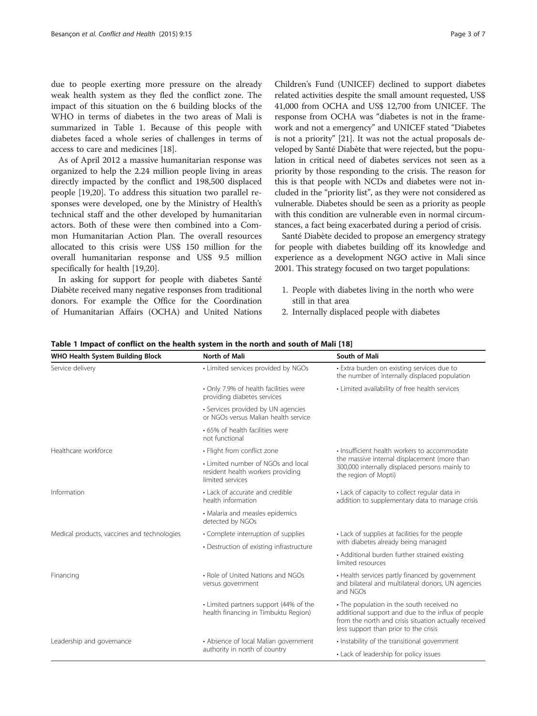due to people exerting more pressure on the already weak health system as they fled the conflict zone. The impact of this situation on the 6 building blocks of the WHO in terms of diabetes in the two areas of Mali is summarized in Table 1. Because of this people with diabetes faced a whole series of challenges in terms of access to care and medicines [[18\]](#page-5-0).

As of April 2012 a massive humanitarian response was organized to help the 2.24 million people living in areas directly impacted by the conflict and 198,500 displaced people [\[19,20](#page-5-0)]. To address this situation two parallel responses were developed, one by the Ministry of Health's technical staff and the other developed by humanitarian actors. Both of these were then combined into a Common Humanitarian Action Plan. The overall resources allocated to this crisis were US\$ 150 million for the overall humanitarian response and US\$ 9.5 million specifically for health [[19](#page-5-0),[20](#page-5-0)].

In asking for support for people with diabetes Santé Diabète received many negative responses from traditional donors. For example the Office for the Coordination of Humanitarian Affairs (OCHA) and United Nations

Children's Fund (UNICEF) declined to support diabetes related activities despite the small amount requested, US\$ 41,000 from OCHA and US\$ 12,700 from UNICEF. The response from OCHA was "diabetes is not in the framework and not a emergency" and UNICEF stated "Diabetes is not a priority" [\[21\]](#page-5-0). It was not the actual proposals developed by Santé Diabète that were rejected, but the population in critical need of diabetes services not seen as a priority by those responding to the crisis. The reason for this is that people with NCDs and diabetes were not included in the "priority list", as they were not considered as vulnerable. Diabetes should be seen as a priority as people with this condition are vulnerable even in normal circum-

stances, a fact being exacerbated during a period of crisis. Santé Diabète decided to propose an emergency strategy for people with diabetes building off its knowledge and experience as a development NGO active in Mali since 2001. This strategy focused on two target populations:

- 1. People with diabetes living in the north who were still in that area
- 2. Internally displaced people with diabetes

| WHO Health System Building Block            | <b>North of Mali</b>                                                                        | South of Mali                                                                                                                                                                                     |
|---------------------------------------------|---------------------------------------------------------------------------------------------|---------------------------------------------------------------------------------------------------------------------------------------------------------------------------------------------------|
| Service delivery                            | • Limited services provided by NGOs                                                         | • Extra burden on existing services due to<br>the number of internally displaced population                                                                                                       |
|                                             | • Only 7.9% of health facilities were<br>providing diabetes services                        | • Limited availability of free health services                                                                                                                                                    |
|                                             | · Services provided by UN agencies<br>or NGOs versus Malian health service                  |                                                                                                                                                                                                   |
|                                             | • 65% of health facilities were<br>not functional                                           |                                                                                                                                                                                                   |
| Healthcare workforce                        | • Flight from conflict zone                                                                 | • Insufficient health workers to accommodate                                                                                                                                                      |
|                                             | • Limited number of NGOs and local<br>resident health workers providing<br>limited services | the massive internal displacement (more than<br>300,000 internally displaced persons mainly to<br>the region of Mopti)                                                                            |
| Information                                 | • Lack of accurate and credible<br>health information                                       | • Lack of capacity to collect regular data in<br>addition to supplementary data to manage crisis                                                                                                  |
|                                             | • Malaria and measles epidemics<br>detected by NGOs                                         |                                                                                                                                                                                                   |
| Medical products, vaccines and technologies | • Complete interruption of supplies                                                         | • Lack of supplies at facilities for the people                                                                                                                                                   |
|                                             | • Destruction of existing infrastructure                                                    | with diabetes already being managed                                                                                                                                                               |
|                                             |                                                                                             | • Additional burden further strained existing<br>limited resources                                                                                                                                |
| Financing                                   | • Role of United Nations and NGOs<br>versus government                                      | • Health services partly financed by government<br>and bilateral and multilateral donors, UN agencies<br>and NGOs                                                                                 |
|                                             | • Limited partners support (44% of the<br>health financing in Timbuktu Region)              | • The population in the south received no<br>additional support and due to the influx of people<br>from the north and crisis situation actually received<br>less support than prior to the crisis |
| Leadership and governance                   | • Absence of local Malian government                                                        | • Instability of the transitional government                                                                                                                                                      |
|                                             | authority in north of country                                                               | • Lack of leadership for policy issues                                                                                                                                                            |

#### Table 1 Impact of conflict on the health system in the north and south of Mali [[18](#page-5-0)]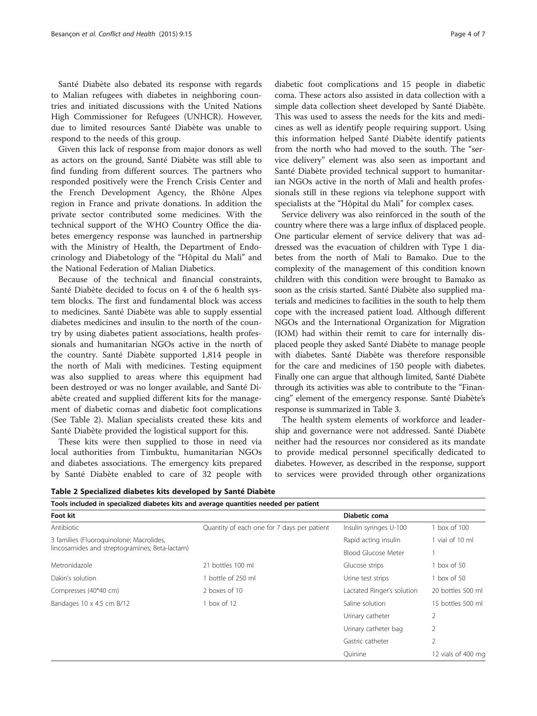Santé Diabète also debated its response with regards to Malian refugees with diabetes in neighboring countries and initiated discussions with the United Nations High Commissioner for Refugees (UNHCR). However, due to limited resources Santé Diabète was unable to respond to the needs of this group.

Given this lack of response from major donors as well as actors on the ground, Santé Diabète was still able to find funding from different sources. The partners who responded positively were the French Crisis Center and the French Development Agency, the Rhône Alpes region in France and private donations. In addition the private sector contributed some medicines. With the technical support of the WHO Country Office the diabetes emergency response was launched in partnership with the Ministry of Health, the Department of Endocrinology and Diabetology of the "Hôpital du Mali" and the National Federation of Malian Diabetics.

Because of the technical and financial constraints, Santé Diabète decided to focus on 4 of the 6 health system blocks. The first and fundamental block was access to medicines. Santé Diabète was able to supply essential diabetes medicines and insulin to the north of the country by using diabetes patient associations, health professionals and humanitarian NGOs active in the north of the country. Santé Diabète supported 1,814 people in the north of Mali with medicines. Testing equipment was also supplied to areas where this equipment had been destroyed or was no longer available, and Santé Diabète created and supplied different kits for the management of diabetic comas and diabetic foot complications (See Table 2). Malian specialists created these kits and Santé Diabète provided the logistical support for this.

These kits were then supplied to those in need via local authorities from Timbuktu, humanitarian NGOs and diabetes associations. The emergency kits prepared by Santé Diabète enabled to care of 32 people with diabetic foot complications and 15 people in diabetic coma. These actors also assisted in data collection with a simple data collection sheet developed by Santé Diabète. This was used to assess the needs for the kits and medicines as well as identify people requiring support. Using this information helped Santé Diabète identify patients from the north who had moved to the south. The "service delivery" element was also seen as important and Santé Diabète provided technical support to humanitarian NGOs active in the north of Mali and health professionals still in these regions via telephone support with specialists at the "Hôpital du Mali" for complex cases.

Service delivery was also reinforced in the south of the country where there was a large influx of displaced people. One particular element of service delivery that was addressed was the evacuation of children with Type 1 diabetes from the north of Mali to Bamako. Due to the complexity of the management of this condition known children with this condition were brought to Bamako as soon as the crisis started. Santé Diabète also supplied materials and medicines to facilities in the south to help them cope with the increased patient load. Although different NGOs and the International Organization for Migration (IOM) had within their remit to care for internally displaced people they asked Santé Diabète to manage people with diabetes. Santé Diabète was therefore responsible for the care and medicines of 150 people with diabetes. Finally one can argue that although limited, Santé Diabète through its activities was able to contribute to the "Financing" element of the emergency response. Santé Diabète's response is summarized in Table [3.](#page-4-0)

The health system elements of workforce and leadership and governance were not addressed. Santé Diabète neither had the resources nor considered as its mandate to provide medical personnel specifically dedicated to diabetes. However, as described in the response, support to services were provided through other organizations

| Table 2 Specialized diabetes kits developed by Santé Diabète |  |  |  |
|--------------------------------------------------------------|--|--|--|
|--------------------------------------------------------------|--|--|--|

| Tools included in specialized diabetes kits and average quantities needed per patient |                                             |                            |                    |  |  |
|---------------------------------------------------------------------------------------|---------------------------------------------|----------------------------|--------------------|--|--|
| Foot kit                                                                              |                                             | Diabetic coma              |                    |  |  |
| Antibiotic                                                                            | Quantity of each one for 7 days per patient | Insulin syringes U-100     | box of 100         |  |  |
| 3 families (Fluoroguinolone; Macrolides,                                              |                                             | Rapid acting insulin       | vial of 10 ml      |  |  |
| lincosamides and streptogramines; Beta-lactam)                                        |                                             | <b>Blood Glucose Meter</b> |                    |  |  |
| Metronidazole                                                                         | 21 bottles 100 ml                           | Glucose strips             | box of $50$        |  |  |
| Dakin's solution                                                                      | bottle of 250 ml                            | Urine test strips          | box of $50$        |  |  |
| Compresses (40*40 cm)                                                                 | 2 boxes of 10                               | Lactated Ringer's solution | 20 bottles 500 ml  |  |  |
| Bandages 10 x 4.5 cm B/12                                                             | box of 12                                   | Saline solution            | 15 bottles 500 ml  |  |  |
|                                                                                       |                                             | Urinary catheter           | $\mathfrak{D}$     |  |  |
|                                                                                       |                                             | Urinary catheter bag       | 2                  |  |  |
|                                                                                       |                                             | Gastric catheter           | 2                  |  |  |
|                                                                                       |                                             | Ouinine                    | 12 vials of 400 mg |  |  |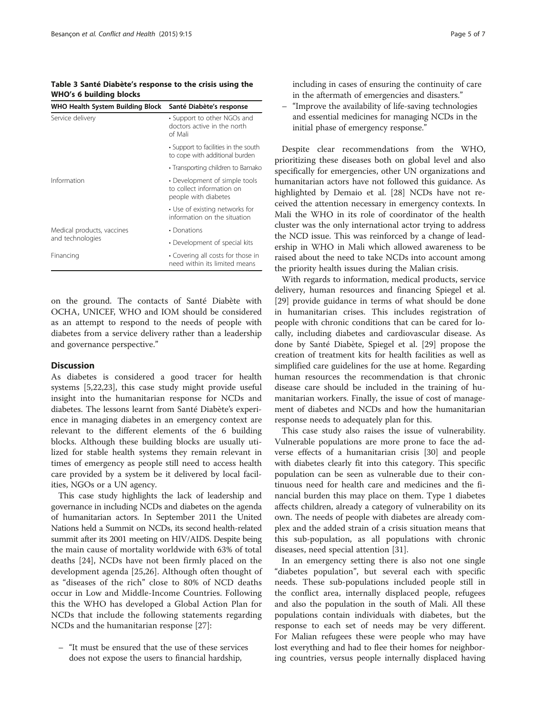<span id="page-4-0"></span>Table 3 Santé Diabète's response to the crisis using the WHO's 6 building blocks

| WHO Health System Building Block | Santé Diabète's response                                                           |  |
|----------------------------------|------------------------------------------------------------------------------------|--|
| Service delivery                 | • Support to other NGOs and<br>doctors active in the north<br>of Mali              |  |
|                                  | • Support to facilities in the south<br>to cope with additional burden             |  |
|                                  | • Transporting children to Bamako                                                  |  |
| Information                      | • Development of simple tools<br>to collect information on<br>people with diabetes |  |
|                                  | • Use of existing networks for<br>information on the situation                     |  |
| Medical products, vaccines       | • Donations                                                                        |  |
| and technologies                 | • Development of special kits                                                      |  |
| Financing                        | • Covering all costs for those in<br>need within its limited means                 |  |

on the ground. The contacts of Santé Diabète with OCHA, UNICEF, WHO and IOM should be considered as an attempt to respond to the needs of people with diabetes from a service delivery rather than a leadership and governance perspective."

#### **Discussion**

As diabetes is considered a good tracer for health systems [[5,22,23\]](#page-5-0), this case study might provide useful insight into the humanitarian response for NCDs and diabetes. The lessons learnt from Santé Diabète's experience in managing diabetes in an emergency context are relevant to the different elements of the 6 building blocks. Although these building blocks are usually utilized for stable health systems they remain relevant in times of emergency as people still need to access health care provided by a system be it delivered by local facilities, NGOs or a UN agency.

This case study highlights the lack of leadership and governance in including NCDs and diabetes on the agenda of humanitarian actors. In September 2011 the United Nations held a Summit on NCDs, its second health-related summit after its 2001 meeting on HIV/AIDS. Despite being the main cause of mortality worldwide with 63% of total deaths [[24\]](#page-5-0), NCDs have not been firmly placed on the development agenda [[25,26](#page-5-0)]. Although often thought of as "diseases of the rich" close to 80% of NCD deaths occur in Low and Middle-Income Countries. Following this the WHO has developed a Global Action Plan for NCDs that include the following statements regarding NCDs and the humanitarian response [[27\]](#page-6-0):

– "It must be ensured that the use of these services does not expose the users to financial hardship,

including in cases of ensuring the continuity of care in the aftermath of emergencies and disasters."

– "Improve the availability of life-saving technologies and essential medicines for managing NCDs in the initial phase of emergency response."

Despite clear recommendations from the WHO, prioritizing these diseases both on global level and also specifically for emergencies, other UN organizations and humanitarian actors have not followed this guidance. As highlighted by Demaio et al. [[28](#page-6-0)] NCDs have not received the attention necessary in emergency contexts. In Mali the WHO in its role of coordinator of the health cluster was the only international actor trying to address the NCD issue. This was reinforced by a change of leadership in WHO in Mali which allowed awareness to be raised about the need to take NCDs into account among the priority health issues during the Malian crisis.

With regards to information, medical products, service delivery, human resources and financing Spiegel et al. [[29\]](#page-6-0) provide guidance in terms of what should be done in humanitarian crises. This includes registration of people with chronic conditions that can be cared for locally, including diabetes and cardiovascular disease. As done by Santé Diabète, Spiegel et al. [[29\]](#page-6-0) propose the creation of treatment kits for health facilities as well as simplified care guidelines for the use at home. Regarding human resources the recommendation is that chronic disease care should be included in the training of humanitarian workers. Finally, the issue of cost of management of diabetes and NCDs and how the humanitarian response needs to adequately plan for this.

This case study also raises the issue of vulnerability. Vulnerable populations are more prone to face the adverse effects of a humanitarian crisis [\[30](#page-6-0)] and people with diabetes clearly fit into this category. This specific population can be seen as vulnerable due to their continuous need for health care and medicines and the financial burden this may place on them. Type 1 diabetes affects children, already a category of vulnerability on its own. The needs of people with diabetes are already complex and the added strain of a crisis situation means that this sub-population, as all populations with chronic diseases, need special attention [\[31\]](#page-6-0).

In an emergency setting there is also not one single "diabetes population", but several each with specific needs. These sub-populations included people still in the conflict area, internally displaced people, refugees and also the population in the south of Mali. All these populations contain individuals with diabetes, but the response to each set of needs may be very different. For Malian refugees these were people who may have lost everything and had to flee their homes for neighboring countries, versus people internally displaced having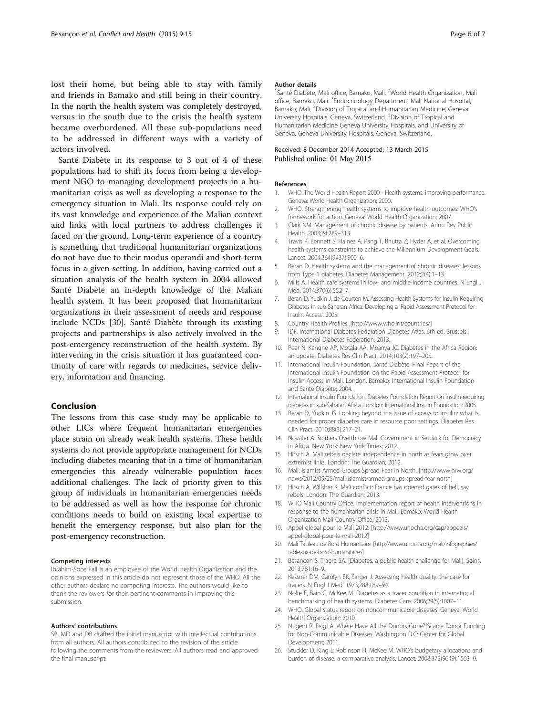<span id="page-5-0"></span>lost their home, but being able to stay with family and friends in Bamako and still being in their country. In the north the health system was completely destroyed, versus in the south due to the crisis the health system became overburdened. All these sub-populations need to be addressed in different ways with a variety of actors involved.

Santé Diabète in its response to 3 out of 4 of these populations had to shift its focus from being a development NGO to managing development projects in a humanitarian crisis as well as developing a response to the emergency situation in Mali. Its response could rely on its vast knowledge and experience of the Malian context and links with local partners to address challenges it faced on the ground. Long-term experience of a country is something that traditional humanitarian organizations do not have due to their modus operandi and short-term focus in a given setting. In addition, having carried out a situation analysis of the health system in 2004 allowed Santé Diabète an in-depth knowledge of the Malian health system. It has been proposed that humanitarian organizations in their assessment of needs and response include NCDs [\[30](#page-6-0)]. Santé Diabète through its existing projects and partnerships is also actively involved in the post-emergency reconstruction of the health system. By intervening in the crisis situation it has guaranteed continuity of care with regards to medicines, service delivery, information and financing.

## Conclusion

The lessons from this case study may be applicable to other LICs where frequent humanitarian emergencies place strain on already weak health systems. These health systems do not provide appropriate management for NCDs including diabetes meaning that in a time of humanitarian emergencies this already vulnerable population faces additional challenges. The lack of priority given to this group of individuals in humanitarian emergencies needs to be addressed as well as how the response for chronic conditions needs to build on existing local expertise to benefit the emergency response, but also plan for the post-emergency reconstruction.

#### Competing interests

Ibrahim-Soce Fall is an employee of the World Health Organization and the opinions expressed in this article do not represent those of the WHO. All the other authors declare no competing interests. The authors would like to thank the reviewers for their pertinent comments in improving this submission.

#### Authors' contributions

SB, MD and DB drafted the initial manuscript with intellectual contributions from all authors. All authors contributed to the revision of the article following the comments from the reviewers. All authors read and approved the final manuscript.

#### Author details

<sup>1</sup>Santé Diabète, Mali office, Bamako, Mali. <sup>2</sup>World Health Organization, Mali office, Bamako, Mali. <sup>3</sup>Endocrinology Department, Mali National Hospital Bamako, Mali. <sup>4</sup> Division of Tropical and Humanitarian Medicine, Geneva University Hospitals, Geneva, Switzerland. <sup>5</sup>Division of Tropical and Humanitarian Medicine Geneva University Hospitals, and University of Geneva, Geneva University Hospitals, Geneva, Switzerland.

#### Received: 8 December 2014 Accepted: 13 March 2015 Published online: 01 May 2015

#### References

- 1. WHO. The World Health Report 2000 Health systems: improving performance. Geneva: World Health Organization; 2000.
- 2. WHO. Strengthening health systems to improve health outcomes: WHO's framework for action. Geneva: World Health Organization; 2007.
- 3. Clark NM. Management of chronic disease by patients. Annu Rev Public Health. 2003;24:289–313.
- 4. Travis P, Bennett S, Haines A, Pang T, Bhutta Z, Hyder A, et al. Overcoming health-systems constraints to achieve the Millennium Development Goals. Lancet. 2004;364(9437):900–6.
- 5. Beran D. Health systems and the management of chronic diseases: lessons from Type 1 diabetes. Diabetes Management. 2012;2(4):1–13.
- 6. Mills A. Health care systems in low- and middle-income countries. N Engl J Med. 2014;370(6):552–7.
- 7. Beran D, Yudkin J, de Courten M. Assessing Health Systems for Insulin-Requiring Diabetes in sub-Saharan Africa: Developing a 'Rapid Assessment Protocol for Insulin Access'. 2005.
- 8. Country Health Profiles. [<http://www.who.int/countries/>]
- 9. IDF. International Diabetes Federation Diabetes Atlas. 6th ed. Brussels: International Diabetes Federation; 2013.
- 10. Peer N, Kengne AP, Motala AA, Mbanya JC. Diabetes in the Africa Region: an update. Diabetes Res Clin Pract. 2014;103(2):197–205.
- 11. International Insulin Foundation, Santé Diabète. Final Report of the International Insulin Foundation on the Rapid Assessment Protocol for Insulin Access in Mali. London, Bamako: International Insulin Foundation and Santé Diabète; 2004.
- 12. International Insulin Foundation. Diabetes Foundation Report on insulin-requiring diabetes in sub-Saharan Africa. London: International Insulin Foundation; 2005.
- 13. Beran D, Yudkin JS. Looking beyond the issue of access to insulin: what is needed for proper diabetes care in resource poor settings. Diabetes Res Clin Pract. 2010;88(3):217–21.
- 14. Nossiter A. Soldiers Overthrow Mali Government in Setback for Democracy in Africa. New York: New York Times; 2012.
- 15. Hirsch A. Mali rebels declare independence in north as fears grow over extremist links. London: The Guardian; 2012.
- 16. Mali: Islamist Armed Groups Spread Fear in North. [\[http://www.hrw.org/](http://www.hrw.org/news/2012/09/25/mali-islamist-armed-groups-spread-fear-north) [news/2012/09/25/mali-islamist-armed-groups-spread-fear-north](http://www.hrw.org/news/2012/09/25/mali-islamist-armed-groups-spread-fear-north)]
- 17. Hirsch A, Willsher K. Mali conflict: France has opened gates of hell, say rebels. London: The Guardian; 2013.
- 18. WHO Mali Country Office. Implementation report of health interventions in response to the humanitarian crisis in Mali. Bamako: World Health Organization Mali Country Office; 2013.
- 19. Appel global pour le Mali 2012. [[http://www.unocha.org/cap/appeals/](http://www.unocha.org/cap/appeals/appel-global-pour-le-mali-2012) [appel-global-pour-le-mali-2012\]](http://www.unocha.org/cap/appeals/appel-global-pour-le-mali-2012)
- 20. Mali Tableau de Bord Humanitaire. [[http://www.unocha.org/mali/infographies/](http://www.unocha.org/mali/infographies/tableaux-de-bord-humanitaires) [tableaux-de-bord-humanitaires\]](http://www.unocha.org/mali/infographies/tableaux-de-bord-humanitaires)
- 21. Besancon S, Traore SA. [Diabetes, a public health challenge for Mali]. Soins. 2013;781:16–9.
- 22. Kessner DM, Carolyn EK, Singer J. Assessing health quality: the case for tracers. N Engl J Med. 1973;288:189–94.
- 23. Nolte E, Bain C, McKee M. Diabetes as a tracer condition in international benchmarking of health systems. Diabetes Care. 2006;29(5):1007–11.
- 24. WHO. Global status report on noncommunicable diseases. Geneva: World Health Organization; 2010.
- 25. Nugent R, Feigl A. Where Have All the Donors Gone? Scarce Donor Funding for Non-Communicable Diseases. Washington D.C: Center for Global Development; 2011.
- 26. Stuckler D, King L, Robinson H, McKee M. WHO's budgetary allocations and burden of disease: a comparative analysis. Lancet. 2008;372(9649):1563–9.